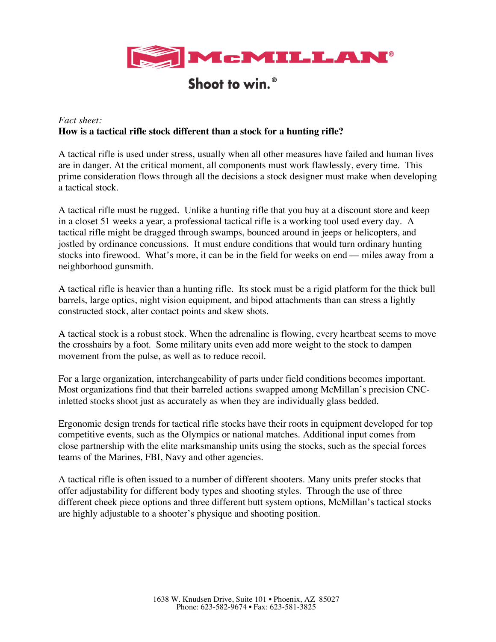

## Shoot to win.<sup>®</sup>

## *Fact sheet:* **How is a tactical rifle stock different than a stock for a hunting rifle?**

A tactical rifle is used under stress, usually when all other measures have failed and human lives are in danger. At the critical moment, all components must work flawlessly, every time. This prime consideration flows through all the decisions a stock designer must make when developing a tactical stock.

A tactical rifle must be rugged. Unlike a hunting rifle that you buy at a discount store and keep in a closet 51 weeks a year, a professional tactical rifle is a working tool used every day. A tactical rifle might be dragged through swamps, bounced around in jeeps or helicopters, and jostled by ordinance concussions. It must endure conditions that would turn ordinary hunting stocks into firewood. What's more, it can be in the field for weeks on end –– miles away from a neighborhood gunsmith.

A tactical rifle is heavier than a hunting rifle. Its stock must be a rigid platform for the thick bull barrels, large optics, night vision equipment, and bipod attachments than can stress a lightly constructed stock, alter contact points and skew shots.

A tactical stock is a robust stock. When the adrenaline is flowing, every heartbeat seems to move the crosshairs by a foot. Some military units even add more weight to the stock to dampen movement from the pulse, as well as to reduce recoil.

For a large organization, interchangeability of parts under field conditions becomes important. Most organizations find that their barreled actions swapped among McMillan's precision CNCinletted stocks shoot just as accurately as when they are individually glass bedded.

Ergonomic design trends for tactical rifle stocks have their roots in equipment developed for top competitive events, such as the Olympics or national matches. Additional input comes from close partnership with the elite marksmanship units using the stocks, such as the special forces teams of the Marines, FBI, Navy and other agencies.

A tactical rifle is often issued to a number of different shooters. Many units prefer stocks that offer adjustability for different body types and shooting styles. Through the use of three different cheek piece options and three different butt system options, McMillan's tactical stocks are highly adjustable to a shooter's physique and shooting position.